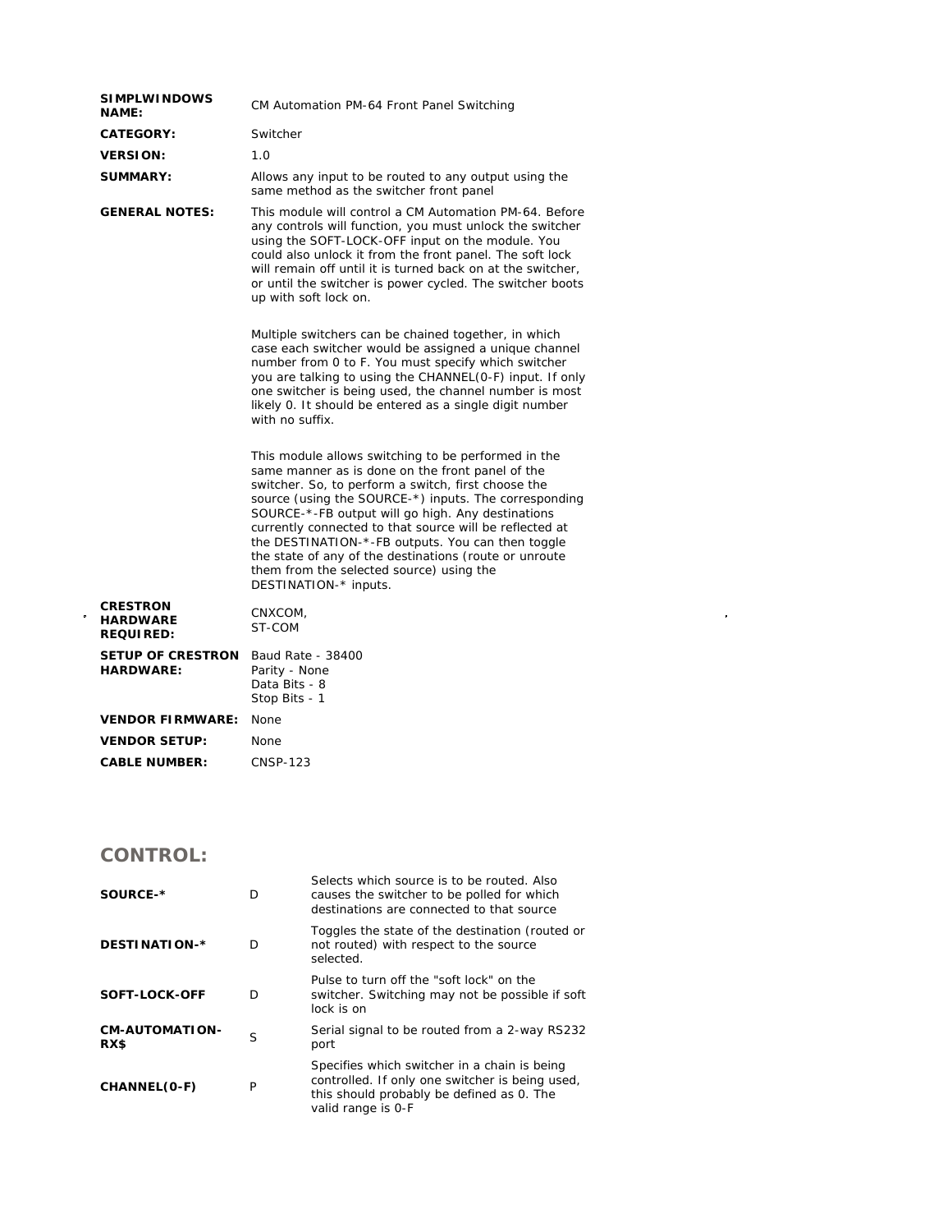| <b>SIMPLWINDOWS</b><br><b>NAME:</b>                    | CM Automation PM-64 Front Panel Switching                                                                                                                                                                                                                                                                                                                                                                                                                                                                                   |  |  |
|--------------------------------------------------------|-----------------------------------------------------------------------------------------------------------------------------------------------------------------------------------------------------------------------------------------------------------------------------------------------------------------------------------------------------------------------------------------------------------------------------------------------------------------------------------------------------------------------------|--|--|
| CATEGORY:                                              | Switcher                                                                                                                                                                                                                                                                                                                                                                                                                                                                                                                    |  |  |
| <b>VERSION:</b>                                        | 1.0                                                                                                                                                                                                                                                                                                                                                                                                                                                                                                                         |  |  |
| <b>SUMMARY:</b>                                        | Allows any input to be routed to any output using the<br>same method as the switcher front panel                                                                                                                                                                                                                                                                                                                                                                                                                            |  |  |
| <b>GENERAL NOTES:</b>                                  | This module will control a CM Automation PM-64. Before<br>any controls will function, you must unlock the switcher<br>using the SOFT-LOCK-OFF input on the module. You<br>could also unlock it from the front panel. The soft lock<br>will remain off until it is turned back on at the switcher,<br>or until the switcher is power cycled. The switcher boots<br>up with soft lock on.                                                                                                                                     |  |  |
|                                                        | Multiple switchers can be chained together, in which<br>case each switcher would be assigned a unique channel<br>number from 0 to F. You must specify which switcher<br>you are talking to using the CHANNEL(0-F) input. If only<br>one switcher is being used, the channel number is most<br>likely 0. It should be entered as a single digit number<br>with no suffix.                                                                                                                                                    |  |  |
|                                                        | This module allows switching to be performed in the<br>same manner as is done on the front panel of the<br>switcher. So, to perform a switch, first choose the<br>source (using the SOURCE-*) inputs. The corresponding<br>SOURCE-*-FB output will go high. Any destinations<br>currently connected to that source will be reflected at<br>the DESTINATION-*-FB outputs. You can then toggle<br>the state of any of the destinations (route or unroute<br>them from the selected source) using the<br>DESTINATION-* inputs. |  |  |
| <b>CRESTRON</b><br><b>HARDWARE</b><br><b>REQUIRED:</b> | CNXCOM,<br>ST-COM                                                                                                                                                                                                                                                                                                                                                                                                                                                                                                           |  |  |
| <b>SETUP OF CRESTRON</b><br><b>HARDWARE:</b>           | Baud Rate - 38400<br>Parity - None<br>Data Bits - 8<br>Stop Bits - 1                                                                                                                                                                                                                                                                                                                                                                                                                                                        |  |  |
| <b>VENDOR FIRMWARE:</b>                                | None                                                                                                                                                                                                                                                                                                                                                                                                                                                                                                                        |  |  |
| <b>VENDOR SETUP:</b>                                   | None                                                                                                                                                                                                                                                                                                                                                                                                                                                                                                                        |  |  |
| <b>CABLE NUMBER:</b>                                   | <b>CNSP-123</b>                                                                                                                                                                                                                                                                                                                                                                                                                                                                                                             |  |  |

 $\label{eq:2.1} \frac{1}{\sqrt{2}}\int_{\mathbb{R}^3}\frac{1}{\sqrt{2}}\left(\frac{1}{\sqrt{2}}\right)^2\frac{1}{\sqrt{2}}\left(\frac{1}{\sqrt{2}}\right)^2\frac{1}{\sqrt{2}}\left(\frac{1}{\sqrt{2}}\right)^2\frac{1}{\sqrt{2}}\left(\frac{1}{\sqrt{2}}\right)^2.$ 

## **CONTROL:**

| SOURCE-*                      |   | Selects which source is to be routed. Also<br>causes the switcher to be polled for which<br>destinations are connected to that source                              |
|-------------------------------|---|--------------------------------------------------------------------------------------------------------------------------------------------------------------------|
| DESTINATION-*                 | D | Toggles the state of the destination (routed or<br>not routed) with respect to the source<br>selected.                                                             |
| SOFT-LOCK-OFF                 | D | Pulse to turn off the "soft lock" on the<br>switcher. Switching may not be possible if soft<br>lock is on                                                          |
| <b>CM-AUTOMATION-</b><br>RX\$ | S | Serial signal to be routed from a 2-way RS232<br>port                                                                                                              |
| CHANNEL(O-F)                  | P | Specifies which switcher in a chain is being<br>controlled. If only one switcher is being used,<br>this should probably be defined as 0. The<br>valid range is 0-F |